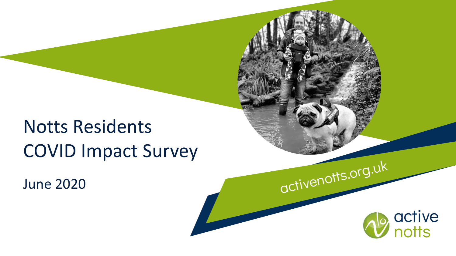# Notts Residents COVID Impact Survey

June 2020

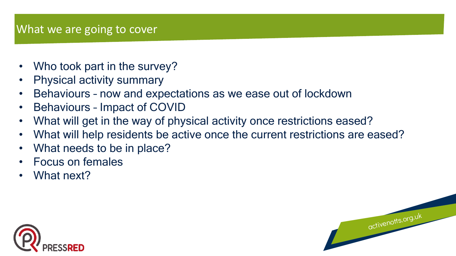## What we are going to cover

- Who took part in the survey?
- Physical activity summary
- Behaviours now and expectations as we ease out of lockdown
- Behaviours Impact of COVID
- What will get in the way of physical activity once restrictions eased?
- What will help residents be active once the current restrictions are eased?

- What needs to be in place?
- Focus on females
- What next?

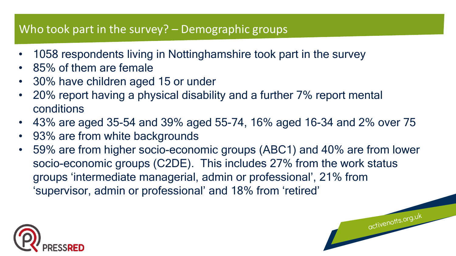## Who took part in the survey? – Demographic groups

- 1058 respondents living in Nottinghamshire took part in the survey
- 85% of them are female
- 30% have children aged 15 or under
- 20% report having a physical disability and a further 7% report mental conditions
- 43% are aged 35-54 and 39% aged 55-74, 16% aged 16-34 and 2% over 75
- 93% are from white backgrounds
- 59% are from higher socio-economic groups (ABC1) and 40% are from lower socio-economic groups (C2DE). This includes 27% from the work status groups 'intermediate managerial, admin or professional', 21% from 'supervisor, admin or professional' and 18% from 'retired'

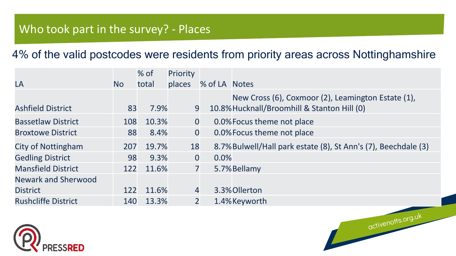## Who took part in the survey? - Places

#### 4% of the valid postcodes were residents from priority areas across Nottinghamshire

|                            |           | % of  | Priority       |                |                                                                |
|----------------------------|-----------|-------|----------------|----------------|----------------------------------------------------------------|
| LA                         | <b>No</b> | total | places         | % of LA Notes  |                                                                |
|                            |           |       |                |                | New Cross (6), Coxmoor (2), Leamington Estate (1),             |
| <b>Ashfield District</b>   | 83        | 7.9%  | 9              |                | 10.8% Hucknall/Broomhill & Stanton Hill (0)                    |
| <b>Bassetlaw District</b>  | 108       | 10.3% | $\overline{0}$ |                | 0.0% Focus theme not place                                     |
| <b>Broxtowe District</b>   | 88        | 8.4%  | $\overline{0}$ |                | 0.0% Focus theme not place                                     |
| City of Nottingham         | 207       | 19.7% | 18             |                | 8.7% Bulwell/Hall park estate (8), St Ann's (7), Beechdale (3) |
| <b>Gedling District</b>    | 98        | 9.3%  | $\mathbf 0$    | 0.0%           |                                                                |
| <b>Mansfield District</b>  | 122       | 11.6% |                | $\overline{7}$ | 5.7% Bellamy                                                   |
| <b>Newark and Sherwood</b> |           |       |                |                |                                                                |
| <b>District</b>            | 122       | 11.6% | $\overline{4}$ |                | 3.3% Ollerton                                                  |
| <b>Rushcliffe District</b> | 140       | 13.3% | 2 <sup>1</sup> |                | 1.4% Keyworth                                                  |
|                            |           |       |                |                | activenotts.org.uk                                             |
|                            |           |       |                |                |                                                                |

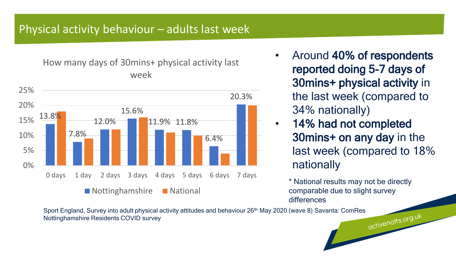### Physical activity behaviour – adults last week

How many days of 30mins+ physical activity last week



- Around 40% of respondents reported doing 5-7 days of 30mins+ physical activity in the last week (compared to 34% nationally)
- 14% had not completed 30mins+ on any day in the last week (compared to 18% nationally

\* National results may not be directly comparable due to slight survey differences

Sport England, Survey into adult physical activity attitudes and behaviour 26<sup>th</sup> May 2020 (wave 8) Savanta: ComRes<br>Nottinghamshire Residents COVID survey<br>Nottinghamshire Residents COVID survey Nottinghamshire Residents COVID survey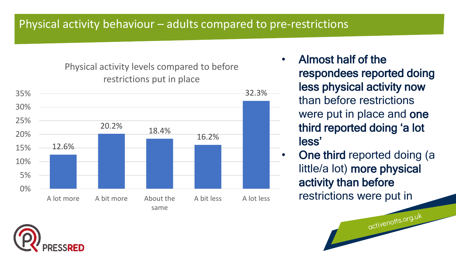Physical activity levels compared to before restrictions put in place



- Almost half of the respondees reported doing less physical activity now than before restrictions were put in place and one third reported doing 'a lot less'
- One third reported doing (a little/a lot) more physical activity than before restrictions were put in

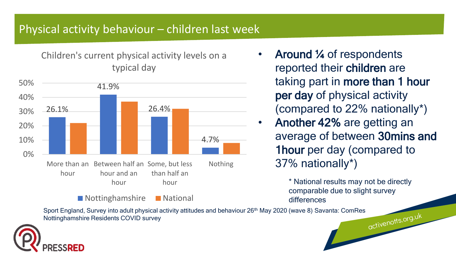## Physical activity behaviour – children last week

Children's current physical activity levels on a typical day



#### Nottinghamshire National

- Around ¼ of respondents reported their children are taking part in more than 1 hour per day of physical activity (compared to 22% nationally\*)
- Another 42% are getting an average of between 30mins and 1hour per day (compared to 37% nationally\*)

\* National results may not be directly comparable due to slight survey differences

Sport England, Survey into adult physical activity attitudes and behaviour 26<sup>th</sup> May 2020 (wave 8) Savanta: ComRes<br>Nottinghamshire Residents COVID survey<br>Nottinghamshire Residents COVID survey Nottinghamshire Residents COVID survey

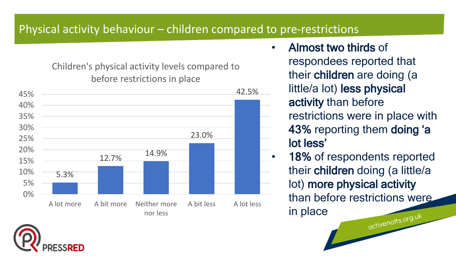## Physical activity behaviour – children compared to pre-restrictions

Children's physical activity levels compared to before restrictions in place



- Almost two thirds of respondees reported that their children are doing (a little/a lot) less physical activity than before restrictions were in place with 43% reporting them doing 'a
	- lot less'
	- 18% of respondents reported their children doing (a little/a lot) more physical activity than before restrictions were in placeactivenotts.org.uk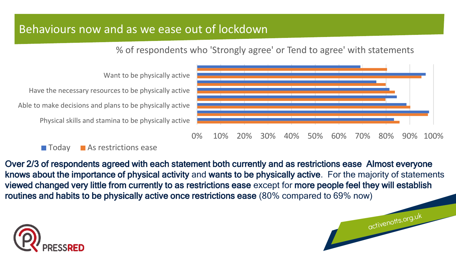## Behaviours now and as we ease out of lockdown

% of respondents who 'Strongly agree' or Tend to agree' with statements

activenotts.org.uk



#### **Today As restrictions ease**

Over 2/3 of respondents agreed with each statement both currently and as restrictions ease Almost everyone knows about the importance of physical activity and wants to be physically active. For the majority of statements viewed changed very little from currently to as restrictions ease except for more people feel they will establish routines and habits to be physically active once restrictions ease (80% compared to 69% now)

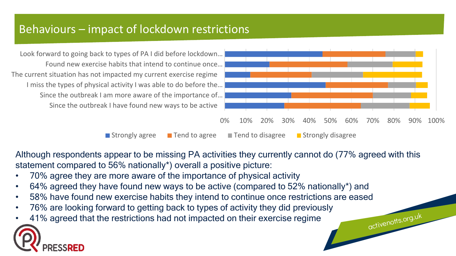## Behaviours – impact of lockdown restrictions

Since the outbreak I have found new ways to be active Since the outbreak I am more aware of the importance of… I miss the types of physical activity I was able to do before the… The current situation has not impacted my current exercise regime Found new exercise habits that intend to continue once… Look forward to going back to types of PA I did before lockdown…



activenotts.org.uk

**Strongly agree** Tend to agree Tend to disagree Testrongly disagree

Although respondents appear to be missing PA activities they currently cannot do (77% agreed with this statement compared to 56% nationally\*) overall a positive picture:

- 70% agree they are more aware of the importance of physical activity
- 64% agreed they have found new ways to be active (compared to 52% nationally\*) and
- 58% have found new exercise habits they intend to continue once restrictions are eased
- 76% are looking forward to getting back to types of activity they did previously
- 41% agreed that the restrictions had not impacted on their exercise regime

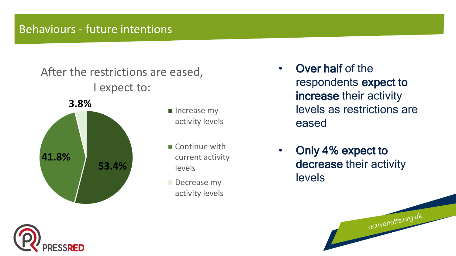## Behaviours - future intentions





- Increase my activity levels
- Continue with current activity levels
- Decrease my activity levels
- Over half of the respondents expect to increase their activity levels as restrictions are eased
- Only 4% expect to decrease their activity levels

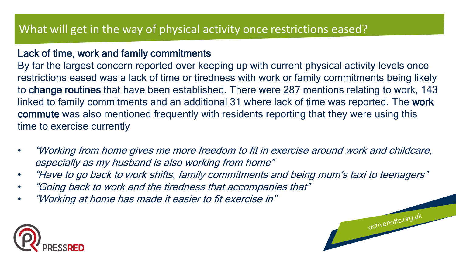#### Lack of time, work and family commitments

By far the largest concern reported over keeping up with current physical activity levels once restrictions eased was a lack of time or tiredness with work or family commitments being likely to change routines that have been established. There were 287 mentions relating to work, 143 linked to family commitments and an additional 31 where lack of time was reported. The work commute was also mentioned frequently with residents reporting that they were using this time to exercise currently

- "Working from home gives me more freedom to fit in exercise around work and childcare, especially as my husband is also working from home"
- "Have to go back to work shifts, family commitments and being mum's taxi to teenagers"

- "Going back to work and the tiredness that accompanies that"
- "Working at home has made it easier to fit exercise in"

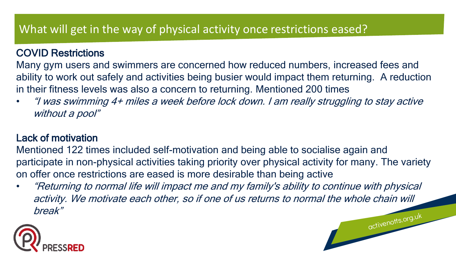#### COVID Restrictions

Many gym users and swimmers are concerned how reduced numbers, increased fees and ability to work out safely and activities being busier would impact them returning. A reduction in their fitness levels was also a concern to returning. Mentioned 200 times

• "I was swimming 4+ miles a week before lock down. I am really struggling to stay active without a pool"

#### Lack of motivation

Mentioned 122 times included self-motivation and being able to socialise again and participate in non-physical activities taking priority over physical activity for many. The variety on offer once restrictions are eased is more desirable than being active

• "Returning to normal life will impact me and my family's ability to continue with physical activity. We motivate each other, so if one of us returns to normal the whole chain will break"activenotts.org.uk

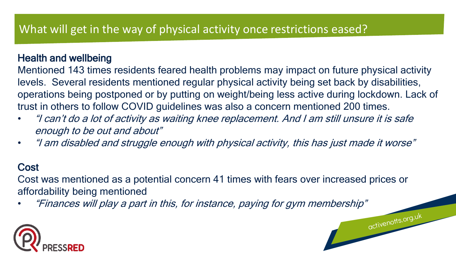#### Health and wellbeing

Mentioned 143 times residents feared health problems may impact on future physical activity levels. Several residents mentioned regular physical activity being set back by disabilities, operations being postponed or by putting on weight/being less active during lockdown. Lack of trust in others to follow COVID guidelines was also a concern mentioned 200 times.

- "I can't do a lot of activity as waiting knee replacement. And I am still unsure it is safe enough to be out and about"
- "I am disabled and struggle enough with physical activity, this has just made it worse"

#### **Cost**

Cost was mentioned as a potential concern 41 times with fears over increased prices or affordability being mentioned

• "Finances will play a part in this, for instance, paying for gym membership"

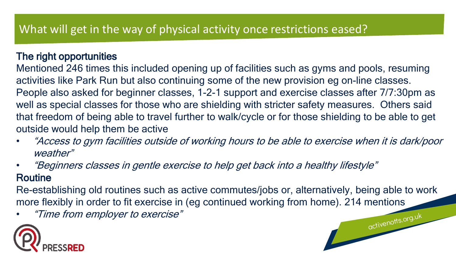#### The right opportunities

Mentioned 246 times this included opening up of facilities such as gyms and pools, resuming activities like Park Run but also continuing some of the new provision eg on-line classes. People also asked for beginner classes, 1-2-1 support and exercise classes after 7/7:30pm as well as special classes for those who are shielding with stricter safety measures. Others said that freedom of being able to travel further to walk/cycle or for those shielding to be able to get outside would help them be active

- "Access to gym facilities outside of working hours to be able to exercise when it is dark/poor weather"
- "Beginners classes in gentle exercise to help get back into a healthy lifestyle"

#### Routine

Re-establishing old routines such as active commutes/jobs or, alternatively, being able to work more flexibly in order to fit exercise in (eg continued working from home). 214 mentions

activenotts.org.uk

• "Time from employer to exercise"

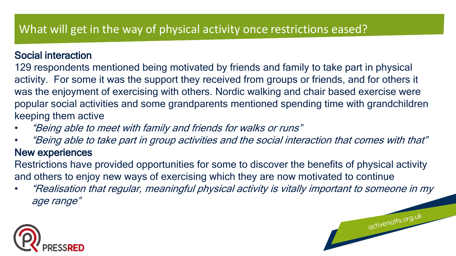#### Social interaction

129 respondents mentioned being motivated by friends and family to take part in physical activity. For some it was the support they received from groups or friends, and for others it was the enjoyment of exercising with others. Nordic walking and chair based exercise were popular social activities and some grandparents mentioned spending time with grandchildren keeping them active

- "Being able to meet with family and friends for walks or runs"
- "Being able to take part in group activities and the social interaction that comes with that" New experiences

Restrictions have provided opportunities for some to discover the benefits of physical activity and others to enjoy new ways of exercising which they are now motivated to continue

• "Realisation that regular, meaningful physical activity is vitally important to someone in my age range"

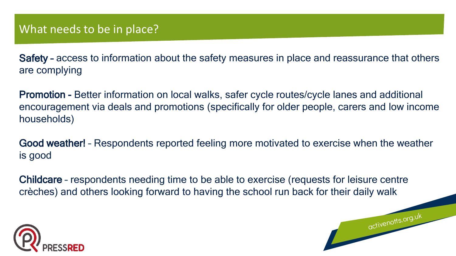Safety – access to information about the safety measures in place and reassurance that others are complying

Promotion - Better information on local walks, safer cycle routes/cycle lanes and additional encouragement via deals and promotions (specifically for older people, carers and low income households)

Good weather! – Respondents reported feeling more motivated to exercise when the weather is good

activenotts.org.uk

Childcare – respondents needing time to be able to exercise (requests for leisure centre crèches) and others looking forward to having the school run back for their daily walk

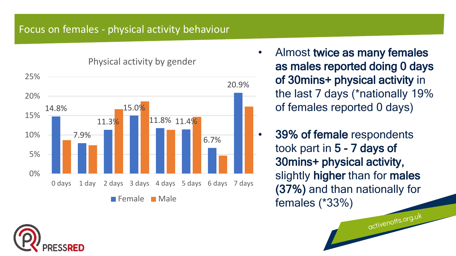#### Focus on females - physical activity behaviour

14.8% 7.9% 11.3% 15.0% 11.8% 11.4% 6.7% 20.9% 0% 5% 10% 15% 20% 25% 0 days 1 day 2 days 3 days 4 days 5 days 6 days 7 days **Female** Male

Physical activity by gender

Almost twice as many females as males reported doing 0 days of 30mins+ physical activity in the last 7 days (\*nationally 19% of females reported 0 days)

• 39% of female respondents took part in 5 - 7 days of 30mins+ physical activity, slightly higher than for males (37%) and than nationally for females (\*33%)

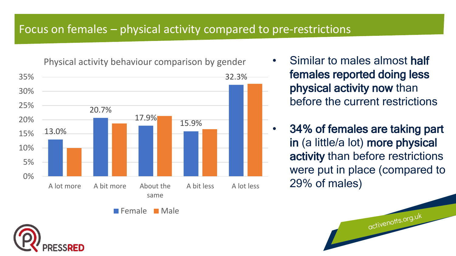## Focus on females – physical activity compared to pre-restrictions

Physical activity behaviour comparison by gender



- Similar to males almost half females reported doing less physical activity now than before the current restrictions
- 34% of females are taking part in (a little/a lot) more physical activity than before restrictions were put in place (compared to 29% of males)

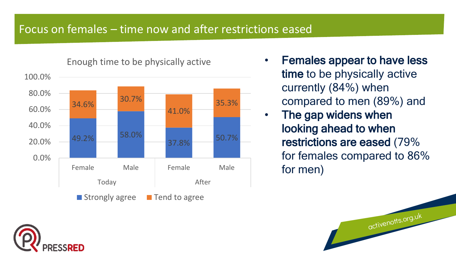## Focus on females – time now and after restrictions eased



• Females appear to have less time to be physically active currently (84%) when compared to men (89%) and

• The gap widens when looking ahead to when restrictions are eased (79% for females compared to 86% for men)

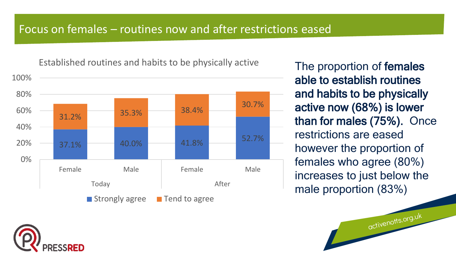#### Focus on females – routines now and after restrictions eased

Established routines and habits to be physically active



The proportion of females able to establish routines and habits to be physically active now (68%) is lower than for males (75%). Once restrictions are eased however the proportion of females who agree (80%) increases to just below the male proportion (83%)

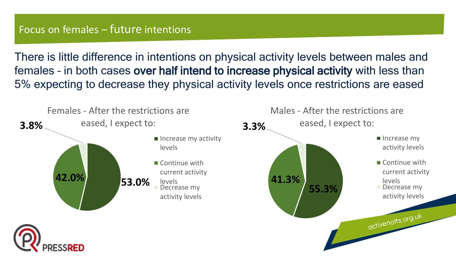#### Focus on females – future intentions

There is little difference in intentions on physical activity levels between males and females – in both cases over half intend to increase physical activity with less than 5% expecting to decrease they physical activity levels once restrictions are eased